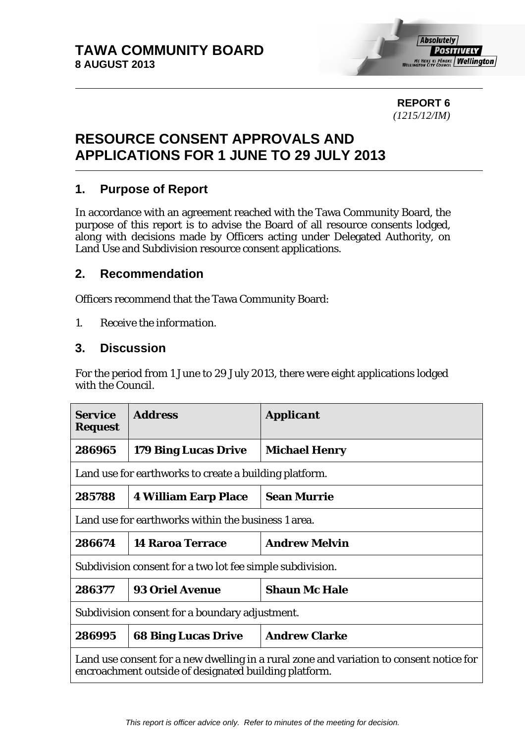

**REPORT 6**  *(1215/12/IM)* 

# **RESOURCE CONSENT APPROVALS AND APPLICATIONS FOR 1 JUNE TO 29 JULY 2013**

## **1. Purpose of Report**

In accordance with an agreement reached with the Tawa Community Board, the purpose of this report is to advise the Board of all resource consents lodged, along with decisions made by Officers acting under Delegated Authority, on Land Use and Subdivision resource consent applications.

#### **2. Recommendation**

Officers recommend that the Tawa Community Board:

*1. Receive the information.* 

## **3. Discussion**

For the period from 1 June to 29 July 2013, there were eight applications lodged with the Council.

| <b>Service</b><br><b>Request</b>                                                                                                                 | <b>Address</b>              | <i><b>Applicant</b></i> |  |  |
|--------------------------------------------------------------------------------------------------------------------------------------------------|-----------------------------|-------------------------|--|--|
| 286965                                                                                                                                           | <b>179 Bing Lucas Drive</b> | <b>Michael Henry</b>    |  |  |
| Land use for earthworks to create a building platform.                                                                                           |                             |                         |  |  |
| 285788                                                                                                                                           | <b>4 William Earp Place</b> | <b>Sean Murrie</b>      |  |  |
| Land use for earthworks within the business 1 area.                                                                                              |                             |                         |  |  |
| 286674                                                                                                                                           | <b>14 Raroa Terrace</b>     | <b>Andrew Melvin</b>    |  |  |
| Subdivision consent for a two lot fee simple subdivision.                                                                                        |                             |                         |  |  |
| 286377                                                                                                                                           | <b>93 Oriel Avenue</b>      | <b>Shaun Mc Hale</b>    |  |  |
| Subdivision consent for a boundary adjustment.                                                                                                   |                             |                         |  |  |
| 286995                                                                                                                                           | <b>68 Bing Lucas Drive</b>  | <b>Andrew Clarke</b>    |  |  |
| Land use consent for a new dwelling in a rural zone and variation to consent notice for<br>encroachment outside of designated building platform. |                             |                         |  |  |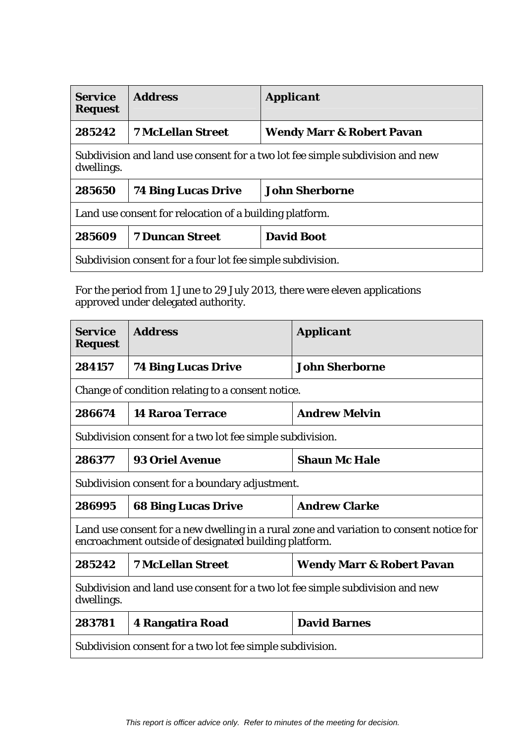| <b>Service</b><br><b>Request</b>                                                            | <b>Address</b>             | <b>Applicant</b>                     |  |  |
|---------------------------------------------------------------------------------------------|----------------------------|--------------------------------------|--|--|
| 285242                                                                                      | <b>7 McLellan Street</b>   | <b>Wendy Marr &amp; Robert Pavan</b> |  |  |
| Subdivision and land use consent for a two lot fee simple subdivision and new<br>dwellings. |                            |                                      |  |  |
| 285650                                                                                      | <b>74 Bing Lucas Drive</b> | <b>John Sherborne</b>                |  |  |
| Land use consent for relocation of a building platform.                                     |                            |                                      |  |  |
| 285609                                                                                      | <b>7 Duncan Street</b>     | <b>David Boot</b>                    |  |  |
| Subdivision consent for a four lot fee simple subdivision.                                  |                            |                                      |  |  |

For the period from 1 June to 29 July 2013, there were eleven applications approved under delegated authority.

| <b>Service</b><br><b>Request</b>                                                                                                                 | <b>Address</b>             | <b>Applicant</b>                     |  |  |
|--------------------------------------------------------------------------------------------------------------------------------------------------|----------------------------|--------------------------------------|--|--|
| 284157                                                                                                                                           | <b>74 Bing Lucas Drive</b> | <b>John Sherborne</b>                |  |  |
| Change of condition relating to a consent notice.                                                                                                |                            |                                      |  |  |
| 286674                                                                                                                                           | <b>14 Raroa Terrace</b>    | <b>Andrew Melvin</b>                 |  |  |
| Subdivision consent for a two lot fee simple subdivision.                                                                                        |                            |                                      |  |  |
| 286377                                                                                                                                           | <b>93 Oriel Avenue</b>     | <b>Shaun Mc Hale</b>                 |  |  |
| Subdivision consent for a boundary adjustment.                                                                                                   |                            |                                      |  |  |
| 286995                                                                                                                                           | <b>68 Bing Lucas Drive</b> | <b>Andrew Clarke</b>                 |  |  |
| Land use consent for a new dwelling in a rural zone and variation to consent notice for<br>encroachment outside of designated building platform. |                            |                                      |  |  |
| 285242                                                                                                                                           | <b>7 McLellan Street</b>   | <b>Wendy Marr &amp; Robert Pavan</b> |  |  |
| Subdivision and land use consent for a two lot fee simple subdivision and new<br>dwellings.                                                      |                            |                                      |  |  |
| 283781                                                                                                                                           | <b>4 Rangatira Road</b>    | <b>David Barnes</b>                  |  |  |
| Subdivision consent for a two lot fee simple subdivision.                                                                                        |                            |                                      |  |  |